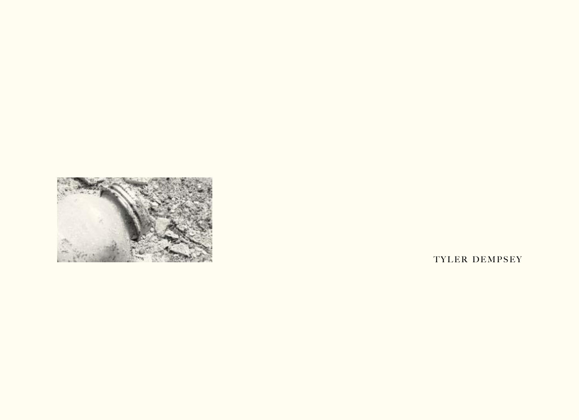

TYLER DEMPSEY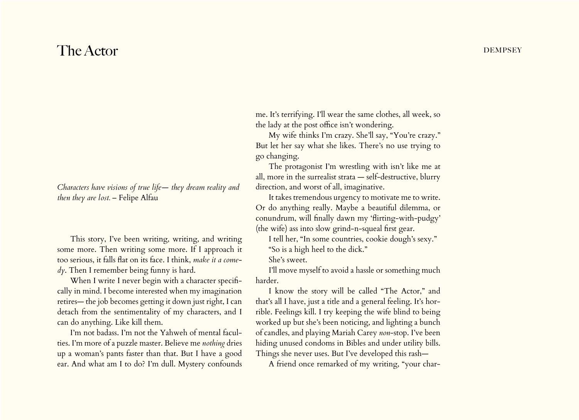## $\Gamma$ he Actor dempsey

*Characters have visions of true life— they dream reality and then they are lost.* – Felipe Alfau

This story, I've been writing, writing, and writing some more. Then writing some more. If I approach it too serious, it falls flat on its face. I think, *make it a comedy*. Then I remember being funny is hard.

When I write I never begin with a character specifically in mind. I become interested when my imagination retires— the job becomes getting it down just right, I can detach from the sentimentality of my characters, and I can do anything. Like kill them.

I'm not badass. I'm not the Yahweh of mental faculties. I'm more of a puzzle master. Believe me *nothing* dries up a woman's pants faster than that. But I have a good ear. And what am I to do? I'm dull. Mystery confounds me. It's terrifying. I'll wear the same clothes, all week, so the lady at the post office isn't wondering.

My wife thinks I'm crazy. She'll say, "You're crazy." But let her say what she likes. There's no use trying to go changing.

The protagonist I'm wrestling with isn't like me at all, more in the surrealist strata — self-destructive, blurry direction, and worst of all, imaginative.

It takes tremendous urgency to motivate me to write. Or do anything really. Maybe a beautiful dilemma, or conundrum, will finally dawn my 'flirting-with-pudgy' (the wife) ass into slow grind-n-squeal first gear.

I tell her, "In some countries, cookie dough's sexy." "So is a high heel to the dick."

She's sweet.

I'll move myself to avoid a hassle or something much harder.

I know the story will be called "The Actor," and that's all I have, just a title and a general feeling. It's horrible. Feelings kill. I try keeping the wife blind to being worked up but she's been noticing, and lighting a bunch of candles, and playing Mariah Carey *non*-stop. I've been hiding unused condoms in Bibles and under utility bills. Things she never uses. But I've developed this rash—

A friend once remarked of my writing, "your char-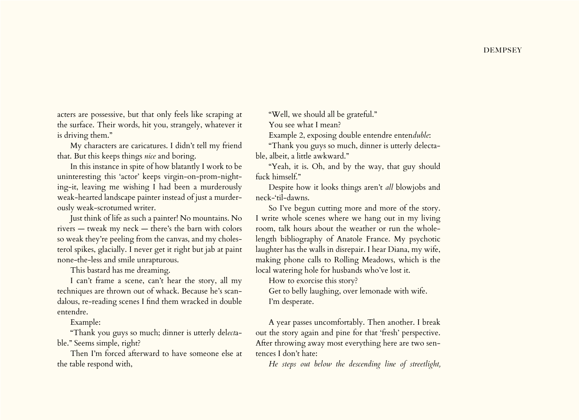acters are possessive, but that only feels like scraping at the surface. Their words, hit you, strangely, whatever it is driving them."

My characters are caricatures. I didn't tell my friend that. But this keeps things *nice* and boring.

In this instance in spite of how blatantly I work to be uninteresting this 'actor' keeps virgin-on-prom-nighting-it, leaving me wishing I had been a murderously weak-hearted landscape painter instead of just a murderously weak-scrotumed writer.

Just think of life as such a painter! No mountains. No rivers — tweak my neck — there's the barn with colors so weak they're peeling from the canvas, and my cholesterol spikes, glacially. I never get it right but jab at paint none-the-less and smile unrapturous.

This bastard has me dreaming.

I can't frame a scene, can't hear the story, all my techniques are thrown out of whack. Because he's scandalous, re-reading scenes I find them wracked in double entendre.

Example:

"Thank you guys so much; dinner is utterly del*ect*able." Seems simple, right?

Then I'm forced afterward to have someone else at the table respond with,

"Well, we should all be grateful."

You see what I mean?

Example 2, exposing double entendre enten*duble*:

"Thank you guys so much, dinner is utterly delectable, albeit, a little awkward."

"Yeah, it is. Oh, and by the way, that guy should fuck himself."

Despite how it looks things aren't *all* blowjobs and neck-'til-dawns.

So I've begun cutting more and more of the story. I write whole scenes where we hang out in my living room, talk hours about the weather or run the wholelength bibliography of Anatole France. My psychotic laughter has the walls in disrepair. I hear Diana, my wife, making phone calls to Rolling Meadows, which is the local watering hole for husbands who've lost it.

How to exorcise this story?

Get to belly laughing, over lemonade with wife. I'm desperate.

A year passes uncomfortably. Then another. I break out the story again and pine for that 'fresh' perspective. After throwing away most everything here are two sentences I don't hate:

*He steps out below the descending line of streetlight,*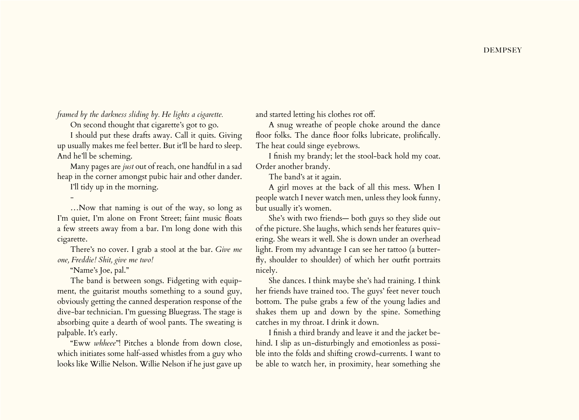*framed by the darkness sliding by. He lights a cigarette.*

On second thought that cigarette's got to go.

I should put these drafts away. Call it quits. Giving up usually makes me feel better. But it'll be hard to sleep. And he'll be scheming.

Many pages are *just* out of reach, one handful in a sad heap in the corner amongst pubic hair and other dander.

I'll tidy up in the morning.

-

…Now that naming is out of the way, so long as I'm quiet, I'm alone on Front Street; faint music floats a few streets away from a bar. I'm long done with this cigarette.

There's no cover. I grab a stool at the bar. *Give me one, Freddie! Shit, give me two!*

"Name's Joe, pal."

The band is between songs. Fidgeting with equipment, the guitarist mouths something to a sound guy, obviously getting the canned desperation response of the dive-bar technician. I'm guessing Bluegrass. The stage is absorbing quite a dearth of wool pants. The sweating is palpable. It's early.

"Eww *whheee*"! Pitches a blonde from down close, which initiates some half-assed whistles from a guy who looks like Willie Nelson. Willie Nelson if he just gave up

and started letting his clothes rot off.

A snug wreathe of people choke around the dance floor folks. The dance floor folks lubricate, prolifically. The heat could singe eyebrows.

I finish my brandy; let the stool-back hold my coat. Order another brandy.

The band's at it again.

A girl moves at the back of all this mess. When I people watch I never watch men, unless they look funny, but usually it's women.

She's with two friends— both guys so they slide out of the picture. She laughs, which sends her features quivering. She wears it well. She is down under an overhead light. From my advantage I can see her tattoo (a butterfly, shoulder to shoulder) of which her outfit portraits nicely.

She dances. I think maybe she's had training. I think her friends have trained too. The guys' feet never touch bottom. The pulse grabs a few of the young ladies and shakes them up and down by the spine. Something catches in my throat. I drink it down.

I finish a third brandy and leave it and the jacket behind. I slip as un-disturbingly and emotionless as possible into the folds and shifting crowd-currents. I want to be able to watch her, in proximity, hear something she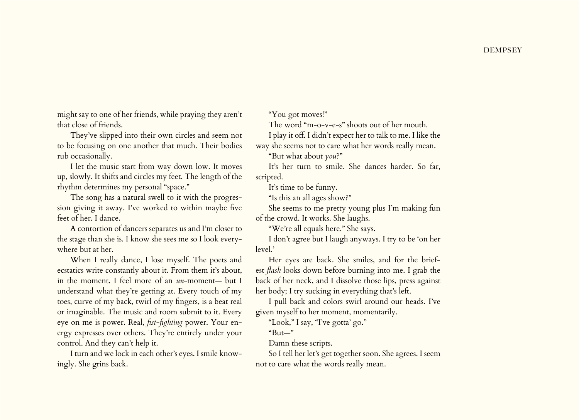might say to one of her friends, while praying they aren't that close of friends.

They've slipped into their own circles and seem not to be focusing on one another that much. Their bodies rub occasionally.

I let the music start from way down low. It moves up, slowly. It shifts and circles my feet. The length of the rhythm determines my personal "space."

The song has a natural swell to it with the progression giving it away. I've worked to within maybe five feet of her. I dance.

A contortion of dancers separates us and I'm closer to the stage than she is. I know she sees me so I look everywhere but at her.

When I really dance, I lose myself. The poets and ecstatics write constantly about it. From them it's about, in the moment. I feel more of an *un*-moment— but I understand what they're getting at. Every touch of my toes, curve of my back, twirl of my fingers, is a beat real or imaginable. The music and room submit to it. Every eye on me is power. Real, *fist-fighting* power. Your energy expresses over others. They're entirely under your control. And they can't help it.

I turn and we lock in each other's eyes. I smile knowingly. She grins back.

"You got moves!"

The word "m-o-v-e-s" shoots out of her mouth.

I play it off. I didn't expect her to talk to me. I like the way she seems not to care what her words really mean.

"But what about *you*?"

It's her turn to smile. She dances harder. So far, scripted.

It's time to be funny.

"Is this an all ages show?"

She seems to me pretty young plus I'm making fun of the crowd. It works. She laughs.

"We're all equals here." She says.

I don't agree but I laugh anyways. I try to be 'on her level.'

Her eyes are back. She smiles, and for the briefest *flash* looks down before burning into me. I grab the back of her neck, and I dissolve those lips, press against her body; I try sucking in everything that's left.

I pull back and colors swirl around our heads. I've given myself to her moment, momentarily.

"Look," I say, "I've gotta' go."

"But—"

Damn these scripts.

So I tell her let's get together soon. She agrees. I seem not to care what the words really mean.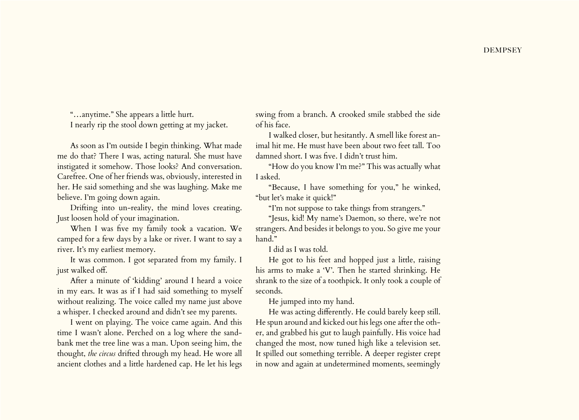"…anytime." She appears a little hurt. I nearly rip the stool down getting at my jacket.

As soon as I'm outside I begin thinking. What made me do that? There I was, acting natural. She must have instigated it somehow. Those looks? And conversation. Carefree. One of her friends was, obviously, interested in her. He said something and she was laughing. Make me believe. I'm going down again.

Drifting into un-reality, the mind loves creating. Just loosen hold of your imagination.

When I was five my family took a vacation. We camped for a few days by a lake or river. I want to say a river. It's my earliest memory.

It was common. I got separated from my family. I just walked off.

After a minute of 'kidding' around I heard a voice in my ears. It was as if I had said something to myself without realizing. The voice called my name just above a whisper. I checked around and didn't see my parents.

I went on playing. The voice came again. And this time I wasn't alone. Perched on a log where the sandbank met the tree line was a man. Upon seeing him, the thought, *the circus* drifted through my head. He wore all ancient clothes and a little hardened cap. He let his legs swing from a branch. A crooked smile stabbed the side of his face.

I walked closer, but hesitantly. A smell like forest animal hit me. He must have been about two feet tall. Too damned short. I was five. I didn't trust him.

"How do you know I'm me?" This was actually what I asked.

"Because, I have something for you," he winked, "but let's make it quick!"

"I'm not suppose to take things from strangers."

"Jesus, kid! My name's Daemon, so there, we're not strangers. And besides it belongs to you. So give me your hand."

I did as I was told.

He got to his feet and hopped just a little, raising his arms to make a 'V'. Then he started shrinking. He shrank to the size of a toothpick. It only took a couple of seconds.

He jumped into my hand.

He was acting differently. He could barely keep still. He spun around and kicked out his legs one after the other, and grabbed his gut to laugh painfully. His voice had changed the most, now tuned high like a television set. It spilled out something terrible. A deeper register crept in now and again at undetermined moments, seemingly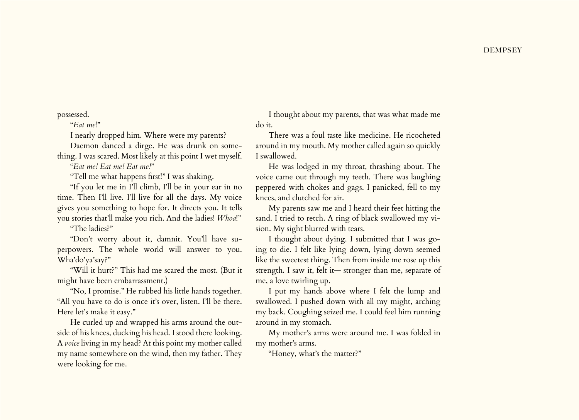possessed.

"*Eat me*!"

I nearly dropped him. Where were my parents?

Daemon danced a dirge. He was drunk on something. I was scared. Most likely at this point I wet myself.

"*Eat me! Eat me! Eat me!*"

"Tell me what happens first!" I was shaking.

"If you let me in I'll climb, I'll be in your ear in no time. Then I'll live. I'll live for all the days. My voice gives you something to hope for. It directs you. It tells you stories that'll make you rich. And the ladies! *Whoa*!"

"The ladies?"

"Don't worry about it, damnit. You'll have superpowers. The whole world will answer to you. Wha'do'ya'say?"

"Will it hurt?" This had me scared the most. (But it might have been embarrassment.)

"No, I promise." He rubbed his little hands together. "All you have to do is once it's over, listen. I'll be there. Here let's make it easy."

He curled up and wrapped his arms around the outside of his knees, ducking his head. I stood there looking. A *voice* living in my head? At this point my mother called my name somewhere on the wind, then my father. They were looking for me.

I thought about my parents, that was what made me do it.

There was a foul taste like medicine. He ricocheted around in my mouth. My mother called again so quickly I swallowed.

He was lodged in my throat, thrashing about. The voice came out through my teeth. There was laughing peppered with chokes and gags. I panicked, fell to my knees, and clutched for air.

My parents saw me and I heard their feet hitting the sand. I tried to retch. A ring of black swallowed my vision. My sight blurred with tears.

I thought about dying. I submitted that I was going to die. I felt like lying down, lying down seemed like the sweetest thing. Then from inside me rose up this strength. I saw it, felt it— stronger than me, separate of me, a love twirling up.

I put my hands above where I felt the lump and swallowed. I pushed down with all my might, arching my back. Coughing seized me. I could feel him running around in my stomach.

My mother's arms were around me. I was folded in my mother's arms.

"Honey, what's the matter?"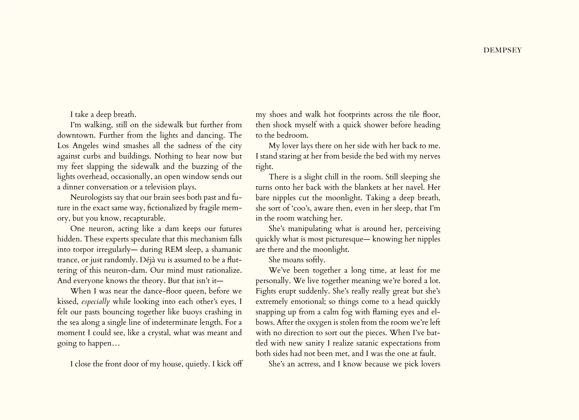I take a deep breath.

I'm walking, still on the sidewalk but further from downtown. Further from the lights and dancing. The Los Angeles wind smashes all the sadness of the city against curbs and buildings. Nothing to hear now but my feet slapping the sidewalk and the buzzing of the lights overhead, occasionally, an open window sends out a dinner conversation or a television plays.

Neurologists say that our brain sees both past and future in the exact same way, fictionalized by fragile memory, but you know, recapturable.

One neuron, acting like a dam keeps our futures hidden. These experts speculate that this mechanism falls into torpor irregularly— during REM sleep, a shamanic trance, or just randomly. Déjà vu is assumed to be a fluttering of this neuron-dam. Our mind must rationalize. And everyone knows the theory. But that isn't it—

When I was near the dance-floor queen, before we kissed, *especially* while looking into each other's eyes, I felt our pasts bouncing together like buoys crashing in the sea along a single line of indeterminate length. For a moment I could see, like a crystal, what was meant and going to happen…

I close the front door of my house, quietly. I kick off

my shoes and walk hot footprints across the tile floor, then shock myself with a quick shower before heading to the bedroom.

My lover lays there on her side with her back to me. I stand staring at her from beside the bed with my nerves tight.

There is a slight chill in the room. Still sleeping she turns onto her back with the blankets at her navel. Her bare nipples cut the moonlight. Taking a deep breath, she sort of 'coo's, aware then, even in her sleep, that I'm in the room watching her.

She's manipulating what is around her, perceiving quickly what is most picturesque— knowing her nipples are there and the moonlight.

She moans softly.

We've been together a long time, at least for me personally. We live together meaning we're bored a lot. Fights erupt suddenly. She's really really great but she's extremely emotional; so things come to a head quickly snapping up from a calm fog with flaming eyes and elbows. After the oxygen is stolen from the room we're left with no direction to sort out the pieces. When I've battled with new sanity I realize satanic expectations from both sides had not been met, and I was the one at fault.

She's an actress, and I know because we pick lovers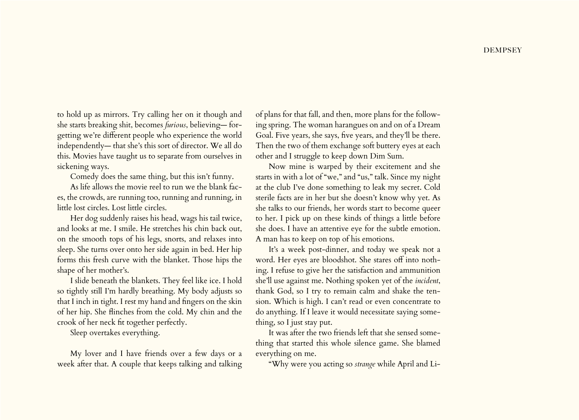to hold up as mirrors. Try calling her on it though and she starts breaking shit, becomes *furious*, believing— forgetting we're different people who experience the world independently— that she's this sort of director. We all do this. Movies have taught us to separate from ourselves in sickening ways.

Comedy does the same thing, but this isn't funny.

As life allows the movie reel to run we the blank faces, the crowds, are running too, running and running, in little lost circles. Lost little circles.

Her dog suddenly raises his head, wags his tail twice, and looks at me. I smile. He stretches his chin back out, on the smooth tops of his legs, snorts, and relaxes into sleep. She turns over onto her side again in bed. Her hip forms this fresh curve with the blanket. Those hips the shape of her mother's.

I slide beneath the blankets. They feel like ice. I hold so tightly still I'm hardly breathing. My body adjusts so that I inch in tight. I rest my hand and fingers on the skin of her hip. She flinches from the cold. My chin and the crook of her neck fit together perfectly.

Sleep overtakes everything.

My lover and I have friends over a few days or a week after that. A couple that keeps talking and talking of plans for that fall, and then, more plans for the following spring. The woman harangues on and on of a Dream Goal. Five years, she says, five years, and they'll be there. Then the two of them exchange soft buttery eyes at each other and I struggle to keep down Dim Sum.

Now mine is warped by their excitement and she starts in with a lot of "we," and "us," talk. Since my night at the club I've done something to leak my secret. Cold sterile facts are in her but she doesn't know why yet. As she talks to our friends, her words start to become queer to her. I pick up on these kinds of things a little before she does. I have an attentive eye for the subtle emotion. A man has to keep on top of his emotions.

It's a week post-dinner, and today we speak not a word. Her eyes are bloodshot. She stares off into nothing. I refuse to give her the satisfaction and ammunition she'll use against me. Nothing spoken yet of the *incident*, thank God, so I try to remain calm and shake the tension. Which is high. I can't read or even concentrate to do anything. If I leave it would necessitate saying something, so I just stay put.

It was after the two friends left that she sensed something that started this whole silence game. She blamed everything on me.

"Why were you acting so *strange* while April and Li-